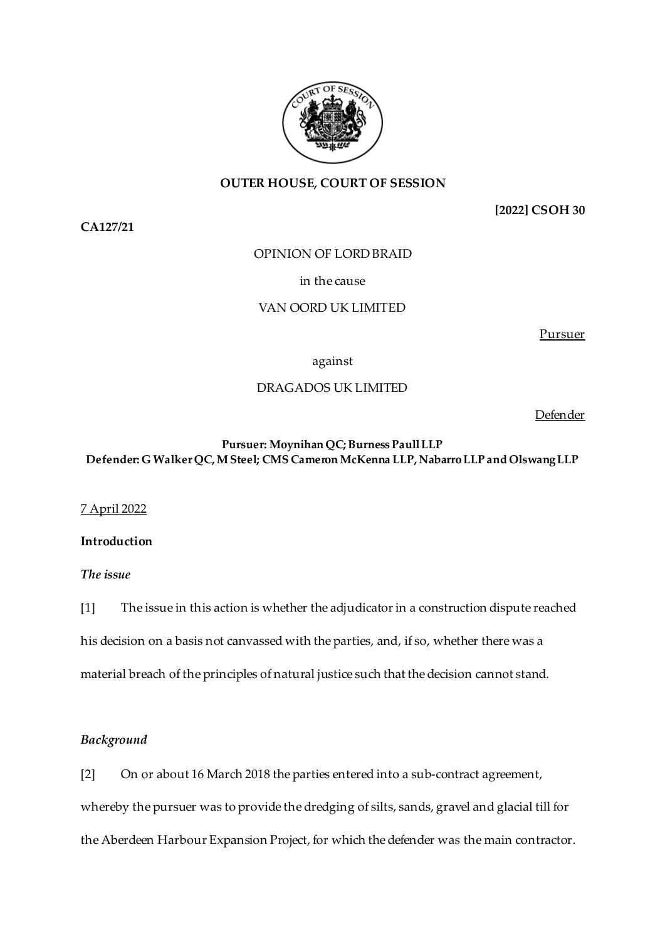

## **OUTER HOUSE, COURT OF SESSION**

**CA127/21**

**[2022] CSOH 30**

OPINION OF LORD BRAID

in the cause

## VAN OORD UK LIMITED

Pursuer

against

## DRAGADOS UK LIMITED

Defender

## **Pursuer: Moynihan QC;Burness Paull LLP Defender: G Walker QC, M Steel; CMS Cameron McKenna LLP, Nabarro LLP and Olswang LLP**

### 7 April 2022

## **Introduction**

*The issue*

[1] The issue in this action is whether the adjudicator in a construction dispute reached his decision on a basis not canvassed with the parties, and, if so, whether there was a material breach of the principles of natural justice such that the decision cannot stand.

## *Background*

[2] On or about 16 March 2018 the parties entered into a sub-contract agreement, whereby the pursuer was to provide the dredging of silts, sands, gravel and glacial till for the Aberdeen Harbour Expansion Project, for which the defender was the main contractor.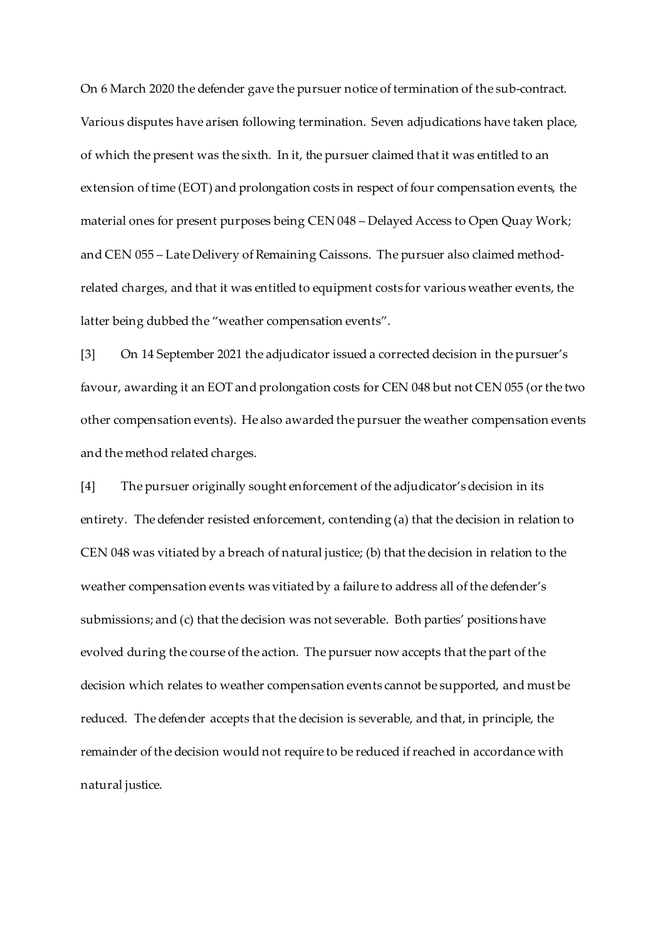On 6 March 2020 the defender gave the pursuer notice of termination of the sub-contract. Various disputes have arisen following termination. Seven adjudications have taken place, of which the present was the sixth. In it, the pursuer claimed that it was entitled to an extension of time (EOT) and prolongation costs in respect of four compensation events, the material ones for present purposes being CEN 048 – Delayed Access to Open Quay Work; and CEN 055 – Late Delivery of Remaining Caissons. The pursuer also claimed methodrelated charges, and that it was entitled to equipment costs for various weather events, the latter being dubbed the "weather compensation events".

[3] On 14 September 2021 the adjudicator issued a corrected decision in the pursuer's favour, awarding it an EOT and prolongation costs for CEN 048 but not CEN 055 (or the two other compensation events). He also awarded the pursuer the weather compensation events and the method related charges.

[4] The pursuer originally sought enforcement of the adjudicator's decision in its entirety. The defender resisted enforcement, contending (a) that the decision in relation to CEN 048 was vitiated by a breach of natural justice; (b) that the decision in relation to the weather compensation events was vitiated by a failure to address all of the defender's submissions; and (c) that the decision was not severable. Both parties' positions have evolved during the course of the action. The pursuer now accepts that the part of the decision which relates to weather compensation events cannot be supported, and must be reduced. The defender accepts that the decision is severable, and that, in principle, the remainder of the decision would not require to be reduced if reached in accordance with natural justice.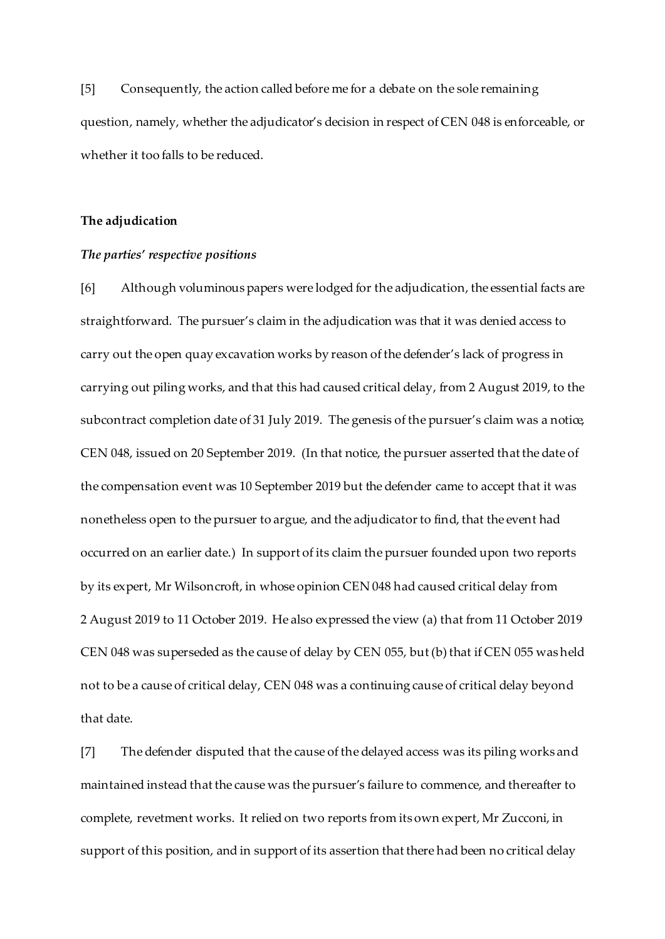[5] Consequently, the action called before me for a debate on the sole remaining question, namely, whether the adjudicator's decision in respect of CEN 048 is enforceable, or whether it too falls to be reduced.

### **The adjudication**

#### *The parties' respective positions*

[6] Although voluminous papers were lodged for the adjudication, the essential facts are straightforward. The pursuer's claim in the adjudication was that it was denied access to carry out the open quay excavation works by reason of the defender's lack of progress in carrying out piling works, and that this had caused critical delay, from 2 August 2019, to the subcontract completion date of 31 July 2019. The genesis of the pursuer's claim was a notice, CEN 048, issued on 20 September 2019. (In that notice, the pursuer asserted that the date of the compensation event was 10 September 2019 but the defender came to accept that it was nonetheless open to the pursuer to argue, and the adjudicator to find, that the event had occurred on an earlier date.) In support of its claim the pursuer founded upon two reports by its expert, Mr Wilsoncroft, in whose opinion CEN 048 had caused critical delay from 2 August 2019 to 11 October 2019. He also expressed the view (a) that from 11 October 2019 CEN 048 was superseded as the cause of delay by CEN 055, but (b) that if CEN 055 was held not to be a cause of critical delay, CEN 048 was a continuing cause of critical delay beyond that date.

[7] The defender disputed that the cause of the delayed access was its piling works and maintained instead that the cause was the pursuer's failure to commence, and thereafter to complete, revetment works. It relied on two reports from its own expert, Mr Zucconi, in support of this position, and in support of its assertion that there had been no critical delay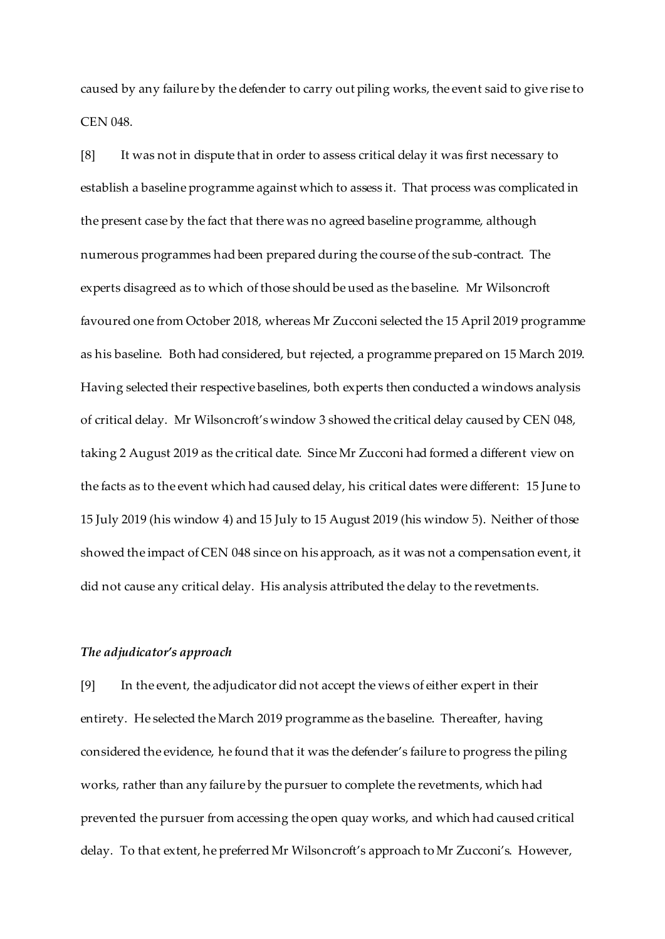caused by any failure by the defender to carry out piling works, the event said to give rise to CEN 048.

[8] It was not in dispute that in order to assess critical delay it was first necessary to establish a baseline programme against which to assess it. That process was complicated in the present case by the fact that there was no agreed baseline programme, although numerous programmes had been prepared during the course of the sub-contract. The experts disagreed as to which of those should be used as the baseline. Mr Wilsoncroft favoured one from October 2018, whereas Mr Zucconi selected the 15 April 2019 programme as his baseline. Both had considered, but rejected, a programme prepared on 15 March 2019. Having selected their respective baselines, both experts then conducted a windows analysis of critical delay. Mr Wilsoncroft's window 3 showed the critical delay caused by CEN 048, taking 2 August 2019 as the critical date. Since Mr Zucconi had formed a different view on the facts as to the event which had caused delay, his critical dates were different: 15 June to 15 July 2019 (his window 4) and 15 July to 15 August 2019 (his window 5). Neither of those showed the impact of CEN 048 since on his approach, as it was not a compensation event, it did not cause any critical delay. His analysis attributed the delay to the revetments.

## *The adjudicator's approach*

[9] In the event, the adjudicator did not accept the views of either expert in their entirety. He selected the March 2019 programme as the baseline. Thereafter, having considered the evidence, he found that it was the defender's failure to progress the piling works, rather than any failure by the pursuer to complete the revetments, which had prevented the pursuer from accessing the open quay works, and which had caused critical delay. To that extent, he preferred Mr Wilsoncroft's approach to Mr Zucconi's. However,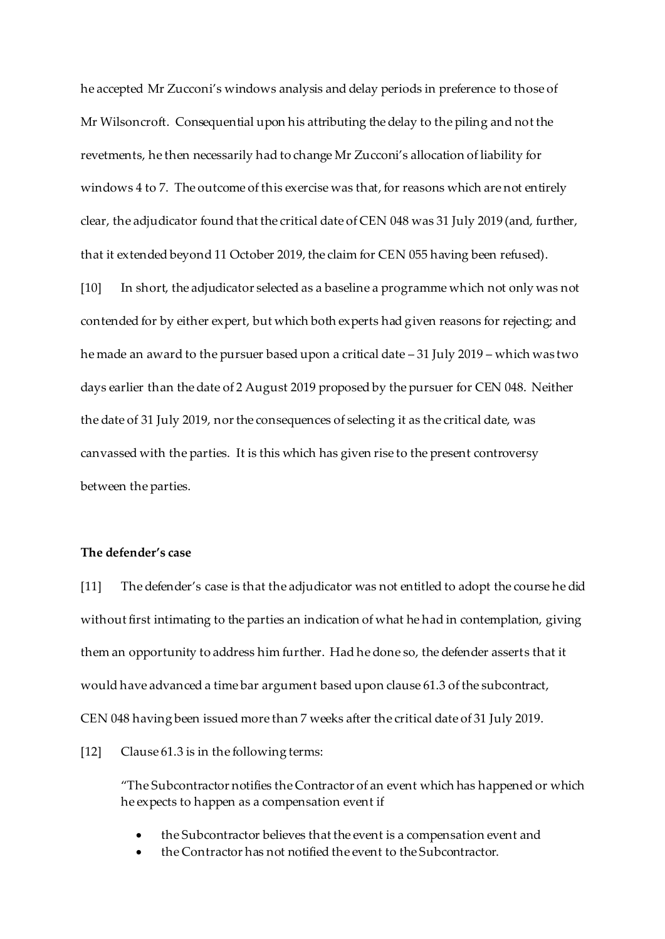he accepted Mr Zucconi's windows analysis and delay periods in preference to those of Mr Wilsoncroft. Consequential upon his attributing the delay to the piling and not the revetments, he then necessarily had to change Mr Zucconi's allocation of liability for windows 4 to 7. The outcome of this exercise was that, for reasons which are not entirely clear, the adjudicator found that the critical date of CEN 048 was 31 July 2019 (and, further, that it extended beyond 11 October 2019, the claim for CEN 055 having been refused).

[10] In short, the adjudicator selected as a baseline a programme which not only was not contended for by either expert, but which both experts had given reasons for rejecting; and he made an award to the pursuer based upon a critical date – 31 July 2019 – which was two days earlier than the date of 2 August 2019 proposed by the pursuer for CEN 048. Neither the date of 31 July 2019, nor the consequences of selecting it as the critical date, was canvassed with the parties. It is this which has given rise to the present controversy between the parties.

### **The defender's case**

[11] The defender's case is that the adjudicator was not entitled to adopt the course he did without first intimating to the parties an indication of what he had in contemplation, giving them an opportunity to address him further. Had he done so, the defender asserts that it would have advanced a time bar argument based upon clause 61.3 of the subcontract, CEN 048 having been issued more than 7 weeks after the critical date of 31 July 2019.

[12] Clause 61.3 is in the following terms:

"The Subcontractor notifies the Contractor of an event which has happened or which he expects to happen as a compensation event if

- the Subcontractor believes that the event is a compensation event and
- the Contractor has not notified the event to the Subcontractor.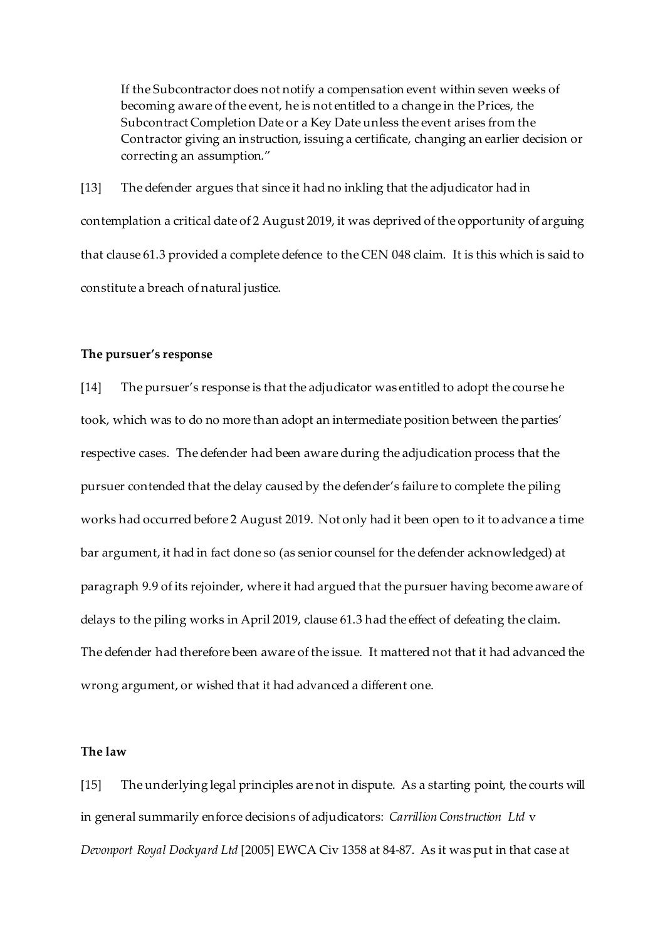If the Subcontractor does not notify a compensation event within seven weeks of becoming aware of the event, he is not entitled to a change in the Prices, the Subcontract Completion Date or a Key Date unless the event arises from the Contractor giving an instruction, issuing a certificate, changing an earlier decision or correcting an assumption."

[13] The defender argues that since it had no inkling that the adjudicator had in contemplation a critical date of 2 August 2019, it was deprived of the opportunity of arguing that clause 61.3 provided a complete defence to the CEN 048 claim. It is this which is said to constitute a breach of natural justice.

#### **The pursuer's response**

[14] The pursuer's response is that the adjudicator was entitled to adopt the course he took, which was to do no more than adopt an intermediate position between the parties' respective cases. The defender had been aware during the adjudication process that the pursuer contended that the delay caused by the defender's failure to complete the piling works had occurred before 2 August 2019. Not only had it been open to it to advance a time bar argument, it had in fact done so (as senior counsel for the defender acknowledged) at paragraph 9.9 of its rejoinder, where it had argued that the pursuer having become aware of delays to the piling works in April 2019, clause 61.3 had the effect of defeating the claim. The defender had therefore been aware of the issue. It mattered not that it had advanced the wrong argument, or wished that it had advanced a different one.

## **The law**

[15] The underlying legal principles are not in dispute. As a starting point, the courts will in general summarily enforce decisions of adjudicators: *Carrillion Construction Ltd* v *Devonport Royal Dockyard Ltd* [2005] EWCA Civ 1358 at 84-87. As it was put in that case at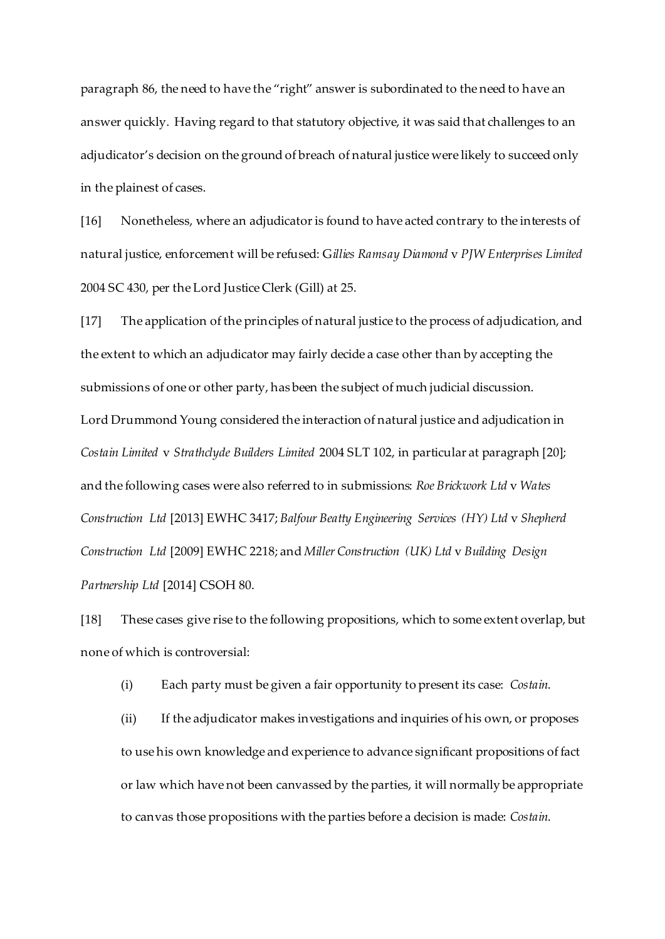paragraph 86, the need to have the "right" answer is subordinated to the need to have an answer quickly. Having regard to that statutory objective, it was said that challenges to an adjudicator's decision on the ground of breach of natural justice were likely to succeed only in the plainest of cases.

[16] Nonetheless, where an adjudicator is found to have acted contrary to the interests of natural justice, enforcement will be refused: G*illies Ramsay Diamond* v *PJW Enterprises Limited*  2004 SC 430, per the Lord Justice Clerk (Gill) at 25.

[17] The application of the principles of natural justice to the process of adjudication, and the extent to which an adjudicator may fairly decide a case other than by accepting the submissions of one or other party, has been the subject of much judicial discussion. Lord Drummond Young considered the interaction of natural justice and adjudication in *Costain Limited* v *Strathclyde Builders Limited* 2004 SLT 102, in particular at paragraph [20]; and the following cases were also referred to in submissions: *Roe Brickwork Ltd* v *Wates Construction Ltd* [2013] EWHC 3417; *Balfour Beatty Engineering Services (HY) Ltd* v *Shepherd Construction Ltd* [2009] EWHC 2218; and *Miller Construction (UK) Ltd* v *Building Design Partnership Ltd* [2014] CSOH 80.

[18] These cases give rise to the following propositions, which to some extent overlap, but none of which is controversial:

(i) Each party must be given a fair opportunity to present its case: *Costain*.

(ii) If the adjudicator makes investigations and inquiries of his own, or proposes to use his own knowledge and experience to advance significant propositions of fact or law which have not been canvassed by the parties, it will normally be appropriate to canvas those propositions with the parties before a decision is made: *Costain*.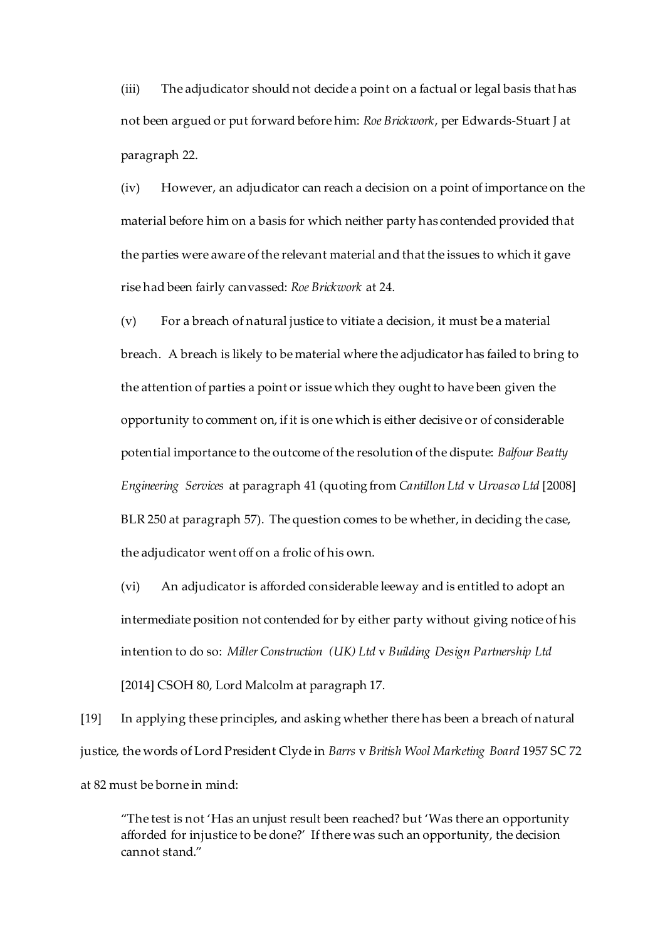(iii) The adjudicator should not decide a point on a factual or legal basis that has not been argued or put forward before him: *Roe Brickwork*, per Edwards-Stuart J at paragraph 22.

(iv) However, an adjudicator can reach a decision on a point of importance on the material before him on a basis for which neither party has contended provided that the parties were aware of the relevant material and that the issues to which it gave rise had been fairly canvassed: *Roe Brickwork* at 24.

(v) For a breach of natural justice to vitiate a decision, it must be a material breach. A breach is likely to be material where the adjudicator has failed to bring to the attention of parties a point or issue which they ought to have been given the opportunity to comment on, if it is one which is either decisive or of considerable potential importance to the outcome of the resolution of the dispute: *Balfour Beatty Engineering Services* at paragraph 41 (quoting from *Cantillon Ltd* v *Urvasco Ltd* [2008] BLR 250 at paragraph 57). The question comes to be whether, in deciding the case, the adjudicator went off on a frolic of his own.

(vi) An adjudicator is afforded considerable leeway and is entitled to adopt an intermediate position not contended for by either party without giving notice of his intention to do so: *Miller Construction (UK) Ltd* v *Building Design Partnership Ltd*  [2014] CSOH 80, Lord Malcolm at paragraph 17.

[19] In applying these principles, and asking whether there has been a breach of natural justice, the words of Lord President Clyde in *Barrs* v *British Wool Marketing Board* 1957 SC 72 at 82 must be borne in mind:

"The test is not 'Has an unjust result been reached? but 'Was there an opportunity afforded for injustice to be done?' If there was such an opportunity, the decision cannot stand."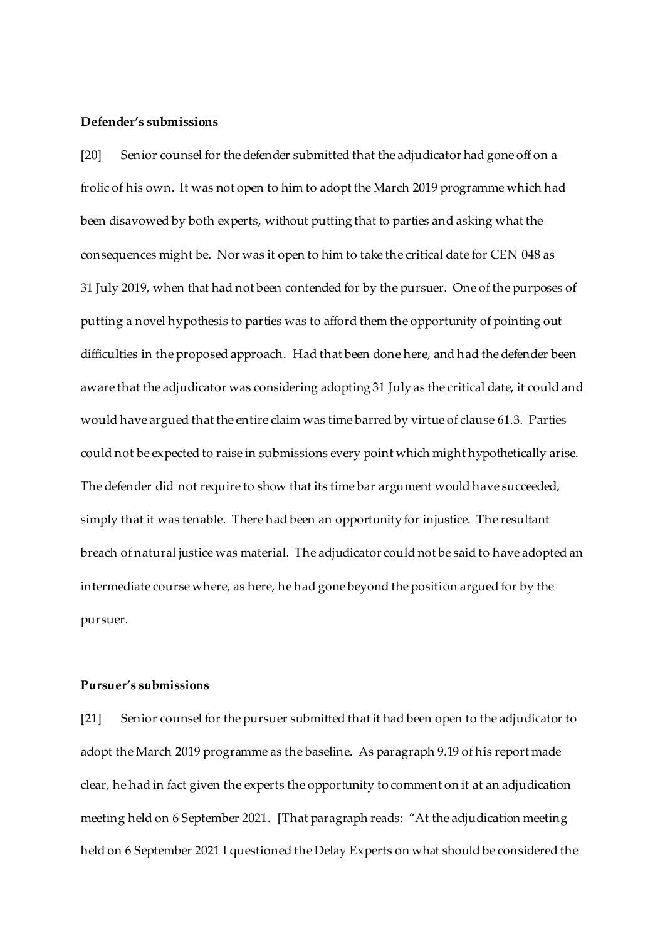#### **Defender's submissions**

[20] Senior counsel for the defender submitted that the adjudicator had gone off on a frolic of his own. It was not open to him to adopt the March 2019 programme which had been disavowed by both experts, without putting that to parties and asking what the consequences might be. Nor was it open to him to take the critical date for CEN 048 as 31 July 2019, when that had not been contended for by the pursuer. One of the purposes of putting a novel hypothesis to parties was to afford them the opportunity of pointing out difficulties in the proposed approach. Had that been done here, and had the defender been aware that the adjudicator was considering adopting 31 July as the critical date, it could and would have argued that the entire claim was time barred by virtue of clause 61.3. Parties could not be expected to raise in submissions every point which might hypothetically arise. The defender did not require to show that its time bar argument would have succeeded, simply that it was tenable. There had been an opportunity for injustice. The resultant breach of natural justice was material. The adjudicator could not be said to have adopted an intermediate course where, as here, he had gone beyond the position argued for by the pursuer.

## **Pursuer's submissions**

[21] Senior counsel for the pursuer submitted that it had been open to the adjudicator to adopt the March 2019 programme as the baseline. As paragraph 9.19 of his report made clear, he had in fact given the experts the opportunity to comment on it at an adjudication meeting held on 6 September 2021. [That paragraph reads: "At the adjudication meeting held on 6 September 2021 I questioned the Delay Experts on what should be considered the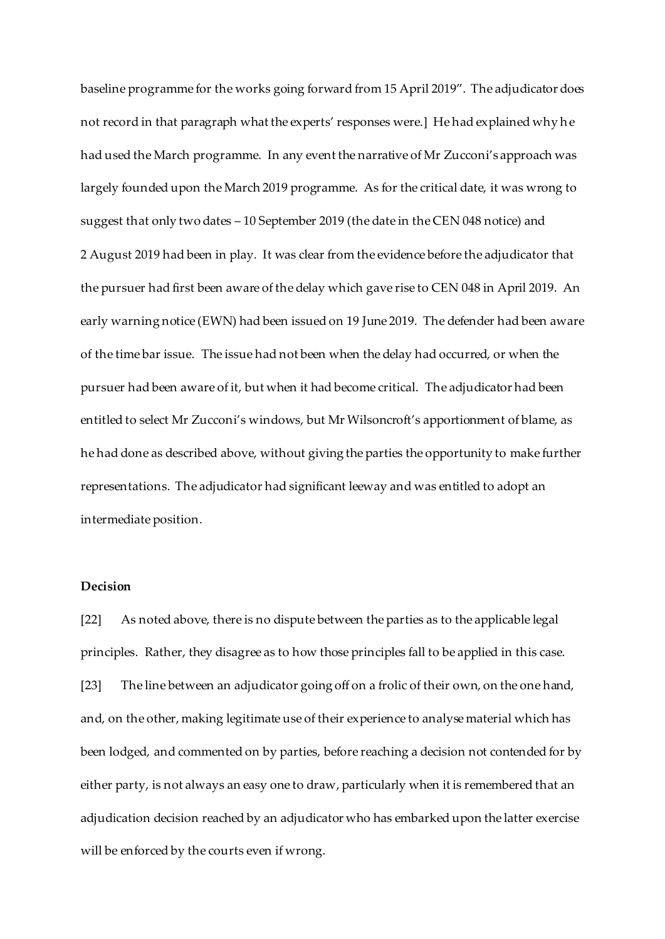baseline programme for the works going forward from 15 April 2019". The adjudicator does not record in that paragraph what the experts' responses were.] He had explained why he had used the March programme. In any event the narrative of Mr Zucconi's approach was largely founded upon the March 2019 programme. As for the critical date, it was wrong to suggest that only two dates – 10 September 2019 (the date in the CEN 048 notice) and 2 August 2019 had been in play. It was clear from the evidence before the adjudicator that the pursuer had first been aware of the delay which gave rise to CEN 048 in April 2019. An early warning notice (EWN) had been issued on 19 June 2019. The defender had been aware of the time bar issue. The issue had not been when the delay had occurred, or when the pursuer had been aware of it, but when it had become critical. The adjudicator had been entitled to select Mr Zucconi's windows, but Mr Wilsoncroft's apportionment of blame, as he had done as described above, without giving the parties the opportunity to make further representations. The adjudicator had significant leeway and was entitled to adopt an intermediate position.

# **Decision**

[22] As noted above, there is no dispute between the parties as to the applicable legal principles. Rather, they disagree as to how those principles fall to be applied in this case. [23] The line between an adjudicator going off on a frolic of their own, on the one hand, and, on the other, making legitimate use of their experience to analyse material which has been lodged, and commented on by parties, before reaching a decision not contended for by either party, is not always an easy one to draw, particularly when it is remembered that an adjudication decision reached by an adjudicator who has embarked upon the latter exercise will be enforced by the courts even if wrong.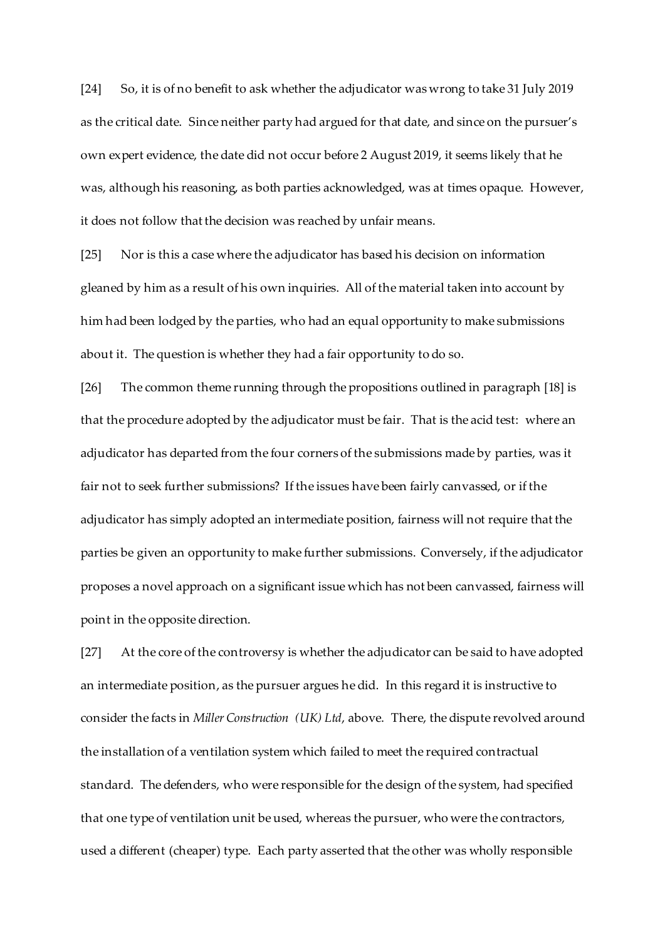[24] So, it is of no benefit to ask whether the adjudicator was wrong to take 31 July 2019 as the critical date. Since neither party had argued for that date, and since on the pursuer's own expert evidence, the date did not occur before 2 August 2019, it seems likely that he was, although his reasoning, as both parties acknowledged, was at times opaque. However, it does not follow that the decision was reached by unfair means.

[25] Nor is this a case where the adjudicator has based his decision on information gleaned by him as a result of his own inquiries. All of the material taken into account by him had been lodged by the parties, who had an equal opportunity to make submissions about it. The question is whether they had a fair opportunity to do so.

[26] The common theme running through the propositions outlined in paragraph [18] is that the procedure adopted by the adjudicator must be fair. That is the acid test: where an adjudicator has departed from the four corners of the submissions made by parties, was it fair not to seek further submissions? If the issues have been fairly canvassed, or if the adjudicator has simply adopted an intermediate position, fairness will not require that the parties be given an opportunity to make further submissions. Conversely, if the adjudicator proposes a novel approach on a significant issue which has not been canvassed, fairness will point in the opposite direction.

[27] At the core of the controversy is whether the adjudicator can be said to have adopted an intermediate position, as the pursuer argues he did. In this regard it is instructive to consider the facts in *Miller Construction (UK) Ltd*, above. There, the dispute revolved around the installation of a ventilation system which failed to meet the required contractual standard. The defenders, who were responsible for the design of the system, had specified that one type of ventilation unit be used, whereas the pursuer, who were the contractors, used a different (cheaper) type. Each party asserted that the other was wholly responsible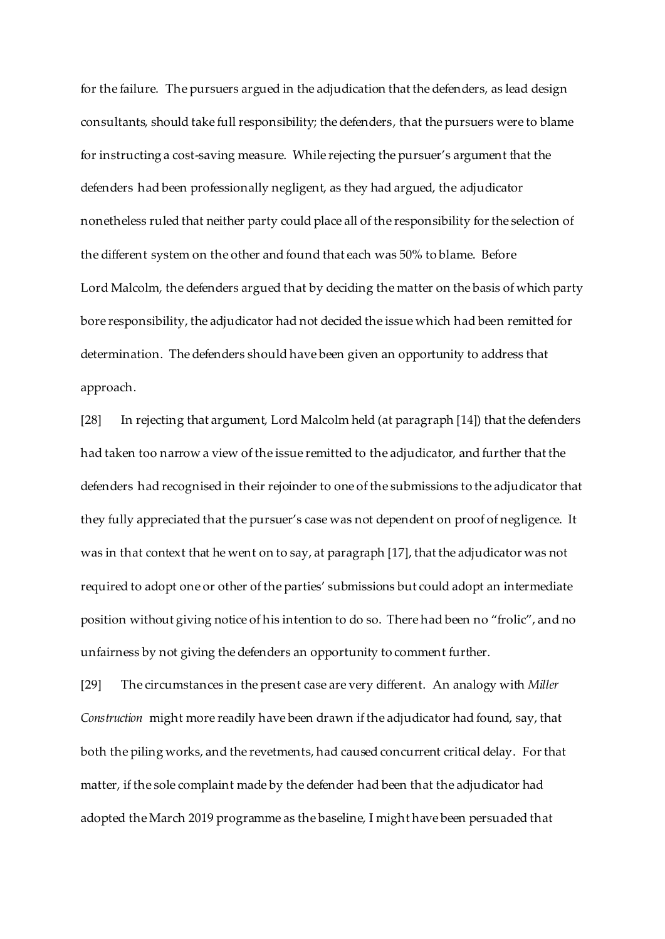for the failure. The pursuers argued in the adjudication that the defenders, as lead design consultants, should take full responsibility; the defenders, that the pursuers were to blame for instructing a cost-saving measure. While rejecting the pursuer's argument that the defenders had been professionally negligent, as they had argued, the adjudicator nonetheless ruled that neither party could place all of the responsibility for the selection of the different system on the other and found that each was 50% to blame. Before Lord Malcolm, the defenders argued that by deciding the matter on the basis of which party bore responsibility, the adjudicator had not decided the issue which had been remitted for determination. The defenders should have been given an opportunity to address that approach.

[28] In rejecting that argument, Lord Malcolm held (at paragraph [14]) that the defenders had taken too narrow a view of the issue remitted to the adjudicator, and further that the defenders had recognised in their rejoinder to one of the submissions to the adjudicator that they fully appreciated that the pursuer's case was not dependent on proof of negligence. It was in that context that he went on to say, at paragraph [17], that the adjudicator was not required to adopt one or other of the parties' submissions but could adopt an intermediate position without giving notice of his intention to do so. There had been no "frolic", and no unfairness by not giving the defenders an opportunity to comment further.

[29] The circumstances in the present case are very different. An analogy with *Miller Construction* might more readily have been drawn if the adjudicator had found, say, that both the piling works, and the revetments, had caused concurrent critical delay. For that matter, if the sole complaint made by the defender had been that the adjudicator had adopted the March 2019 programme as the baseline, I might have been persuaded that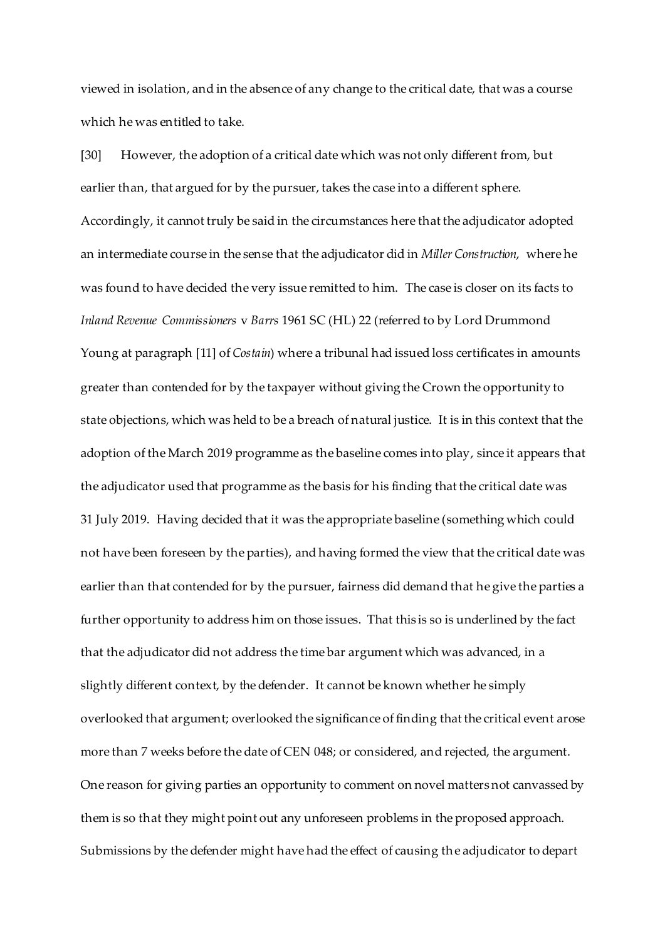viewed in isolation, and in the absence of any change to the critical date, that was a course which he was entitled to take.

[30] However, the adoption of a critical date which was not only different from, but earlier than, that argued for by the pursuer, takes the case into a different sphere. Accordingly, it cannot truly be said in the circumstances here that the adjudicator adopted an intermediate course in the sense that the adjudicator did in *Miller Construction*, where he was found to have decided the very issue remitted to him. The case is closer on its facts to *Inland Revenue Commissioners* v *Barrs* 1961 SC (HL) 22 (referred to by Lord Drummond Young at paragraph [11] of *Costain*) where a tribunal had issued loss certificates in amounts greater than contended for by the taxpayer without giving the Crown the opportunity to state objections, which was held to be a breach of natural justice. It is in this context that the adoption of the March 2019 programme as the baseline comes into play, since it appears that the adjudicator used that programme as the basis for his finding that the critical date was 31 July 2019. Having decided that it was the appropriate baseline (something which could not have been foreseen by the parties), and having formed the view that the critical date was earlier than that contended for by the pursuer, fairness did demand that he give the parties a further opportunity to address him on those issues. That this is so is underlined by the fact that the adjudicator did not address the time bar argument which was advanced, in a slightly different context, by the defender. It cannot be known whether he simply overlooked that argument; overlooked the significance of finding that the critical event arose more than 7 weeks before the date of CEN 048; or considered, and rejected, the argument. One reason for giving parties an opportunity to comment on novel matters not canvassed by them is so that they might point out any unforeseen problems in the proposed approach. Submissions by the defender might have had the effect of causing the adjudicator to depart